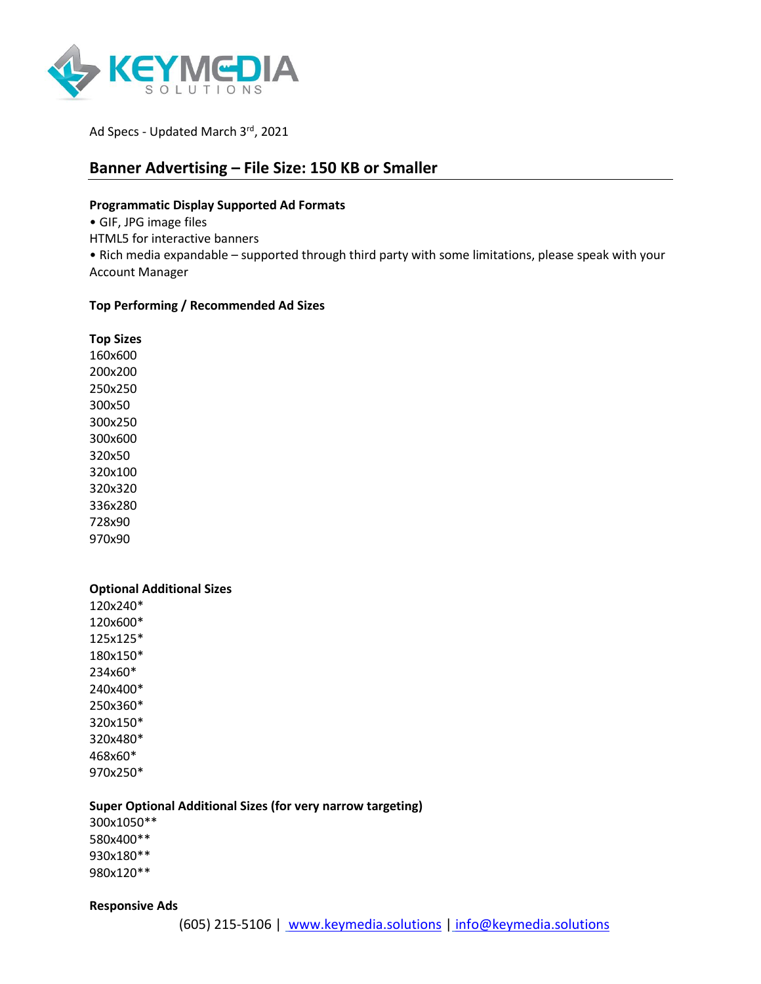

Ad Specs - Updated March 3<sup>rd</sup>, 2021

# **Banner Advertising – File Size: 150 KB or Smaller**

#### **Programmatic Display Supported Ad Formats**

• GIF, JPG image files

HTML5 for interactive banners

• Rich media expandable – supported through third party with some limitations, please speak with your Account Manager

### **Top Performing / Recommended Ad Sizes**

**Top Sizes** 160x600 200x200 250x250 300x50 300x250 300x600 320x50 320x100 320x320 336x280 728x90 970x90

### **Optional Additional Sizes**

120x240\* 120x600\* 125x125\* 180x150\* 234x60\* 240x400\* 250x360\* 320x150\* 320x480\* 468x60\* 970x250\*

### **Super Optional Additional Sizes (for very narrow targeting)**

300x1050\*\* 580x400\*\* 930x180\*\* 980x120\*\*

#### **Responsive Ads**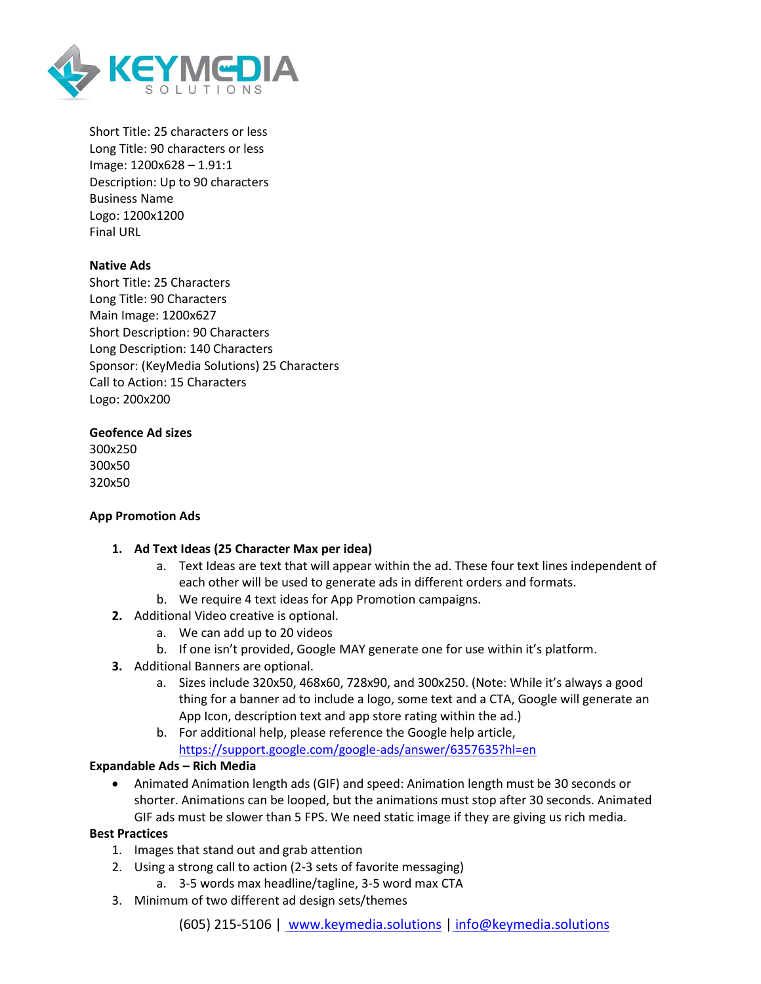

Short Title: 25 characters or less Long Title: 90 characters or less Image: 1200x628 – 1.91:1 Description: Up to 90 characters Business Name Logo: 1200x1200 Final URL

### **Native Ads**

Short Title: 25 Characters Long Title: 90 Characters Main Image: 1200x627 Short Description: 90 Characters Long Description: 140 Characters Sponsor: (KeyMedia Solutions) 25 Characters Call to Action: 15 Characters Logo: 200x200

### **Geofence Ad sizes**

300x250 300x50 320x50

### **App Promotion Ads**

### **1. Ad Text Ideas (25 Character Max per idea)**

- a. Text Ideas are text that will appear within the ad. These four text lines independent of each other will be used to generate ads in different orders and formats.
- b. We require 4 text ideas for App Promotion campaigns.
- **2.** Additional Video creative is optional.
	- a. We can add up to 20 videos
	- b. If one isn't provided, Google MAY generate one for use within it's platform.
- **3.** Additional Banners are optional.
	- a. Sizes include 320x50, 468x60, 728x90, and 300x250. (Note: While it's always a good thing for a banner ad to include a logo, some text and a CTA, Google will generate an App Icon, description text and app store rating within the ad.)
	- b. For additional help, please reference the Google help article, <https://support.google.com/google-ads/answer/6357635?hl=en>

### **Expandable Ads – Rich Media**

• Animated Animation length ads (GIF) and speed: Animation length must be 30 seconds or shorter. Animations can be looped, but the animations must stop after 30 seconds. Animated GIF ads must be slower than 5 FPS. We need static image if they are giving us rich media.

### **Best Practices**

- 1. Images that stand out and grab attention
- 2. Using a strong call to action (2-3 sets of favorite messaging)
	- a. 3-5 words max headline/tagline, 3-5 word max CTA
- 3. Minimum of two different ad design sets/themes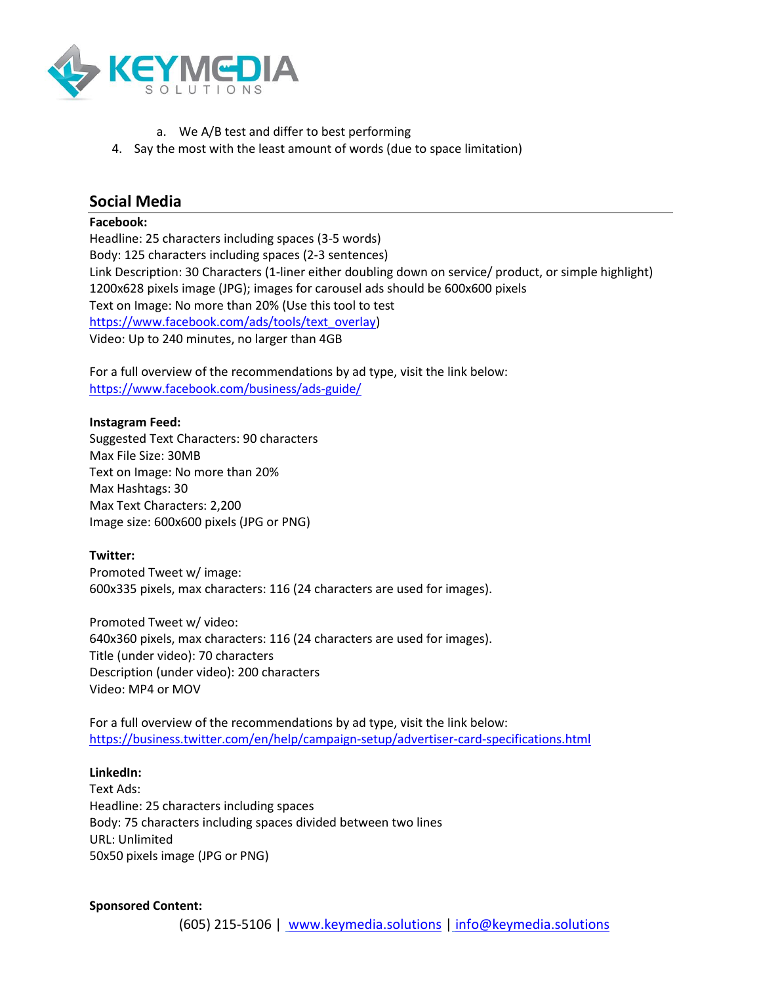

- a. We A/B test and differ to best performing
- 4. Say the most with the least amount of words (due to space limitation)

# **Social Media**

### **Facebook:**

Headline: 25 characters including spaces (3-5 words) Body: 125 characters including spaces (2-3 sentences) Link Description: 30 Characters (1-liner either doubling down on service/ product, or simple highlight) 1200x628 pixels image (JPG); images for carousel ads should be 600x600 pixels Text on Image: No more than 20% (Use this tool to test [https://www.facebook.com/ads/tools/text\\_overlay\)](https://www.facebook.com/ads/tools/text_overlay) Video: Up to 240 minutes, no larger than 4GB

For a full overview of the recommendations by ad type, visit the link below: <https://www.facebook.com/business/ads-guide/>

#### **Instagram Feed:**

Suggested Text Characters: 90 characters Max File Size: 30MB Text on Image: No more than 20% Max Hashtags: 30 Max Text Characters: 2,200 Image size: 600x600 pixels (JPG or PNG)

#### **Twitter:**

Promoted Tweet w/ image: 600x335 pixels, max characters: 116 (24 characters are used for images).

Promoted Tweet w/ video: 640x360 pixels, max characters: 116 (24 characters are used for images). Title (under video): 70 characters Description (under video): 200 characters Video: MP4 or MOV

For a full overview of the recommendations by ad type, visit the link below: <https://business.twitter.com/en/help/campaign-setup/advertiser-card-specifications.html>

#### **LinkedIn:**

Text Ads: Headline: 25 characters including spaces Body: 75 characters including spaces divided between two lines URL: Unlimited 50x50 pixels image (JPG or PNG)

### **Sponsored Content:**

(605) 215-5106 | [www.keymedia.solutions](http://www.keymedia.solutions/) | [info@keymedia.solutions](mailto:info@keymedia.solutions)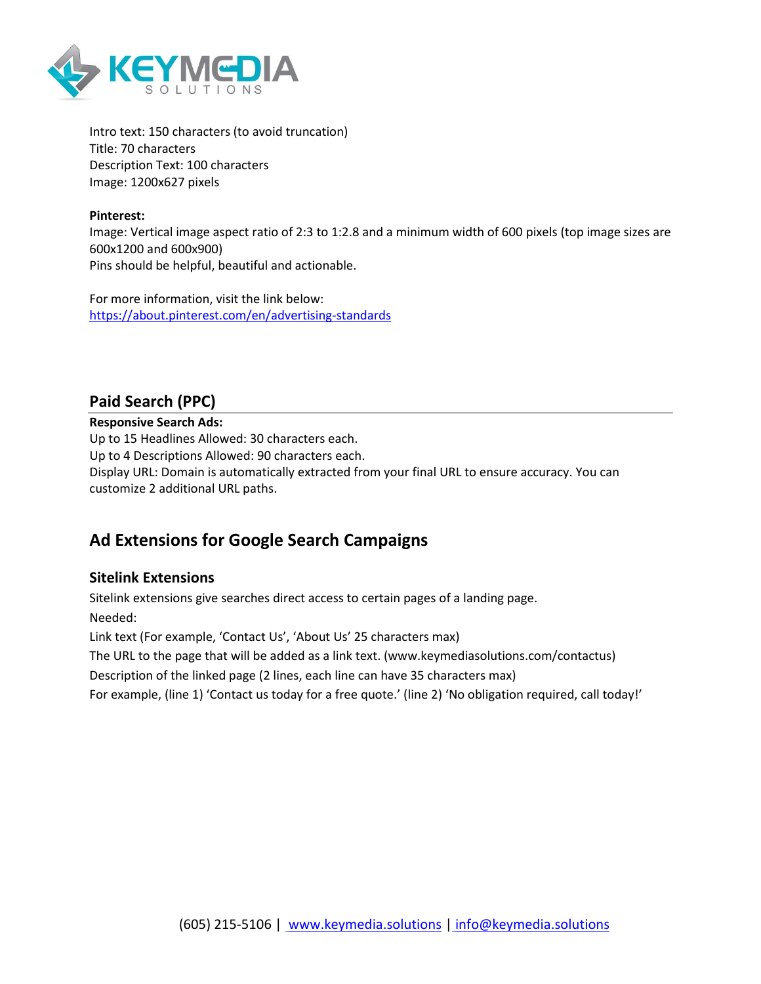

Intro text: 150 characters (to avoid truncation) Title: 70 characters Description Text: 100 characters Image: 1200x627 pixels

### **Pinterest:**

Image: Vertical image aspect ratio of 2:3 to 1:2.8 and a minimum width of 600 pixels (top image sizes are 600x1200 and 600x900) Pins should be helpful, beautiful and actionable.

For more information, visit the link below: <https://about.pinterest.com/en/advertising-standards>

# **Paid Search (PPC)**

**Responsive Search Ads:** Up to 15 Headlines Allowed: 30 characters each. Up to 4 Descriptions Allowed: 90 characters each. Display URL: Domain is automatically extracted from your final URL to ensure accuracy. You can customize 2 additional URL paths.

# **Ad Extensions for Google Search Campaigns**

### **Sitelink Extensions**

Sitelink extensions give searches direct access to certain pages of a landing page. Needed:

Link text (For example, 'Contact Us', 'About Us' 25 characters max)

The URL to the page that will be added as a link text. (www.keymediasolutions.com/contactus)

Description of the linked page (2 lines, each line can have 35 characters max)

For example, (line 1) 'Contact us today for a free quote.' (line 2) 'No obligation required, call today!'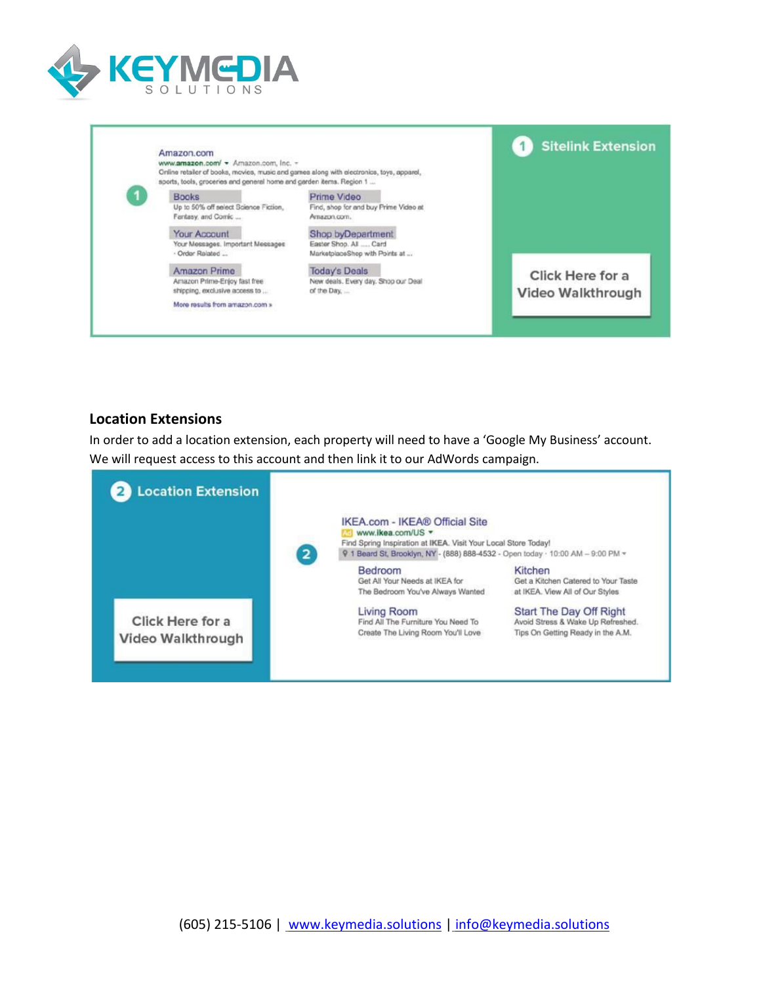



### **Location Extensions**

In order to add a location extension, each property will need to have a 'Google My Business' account. We will request access to this account and then link it to our AdWords campaign.

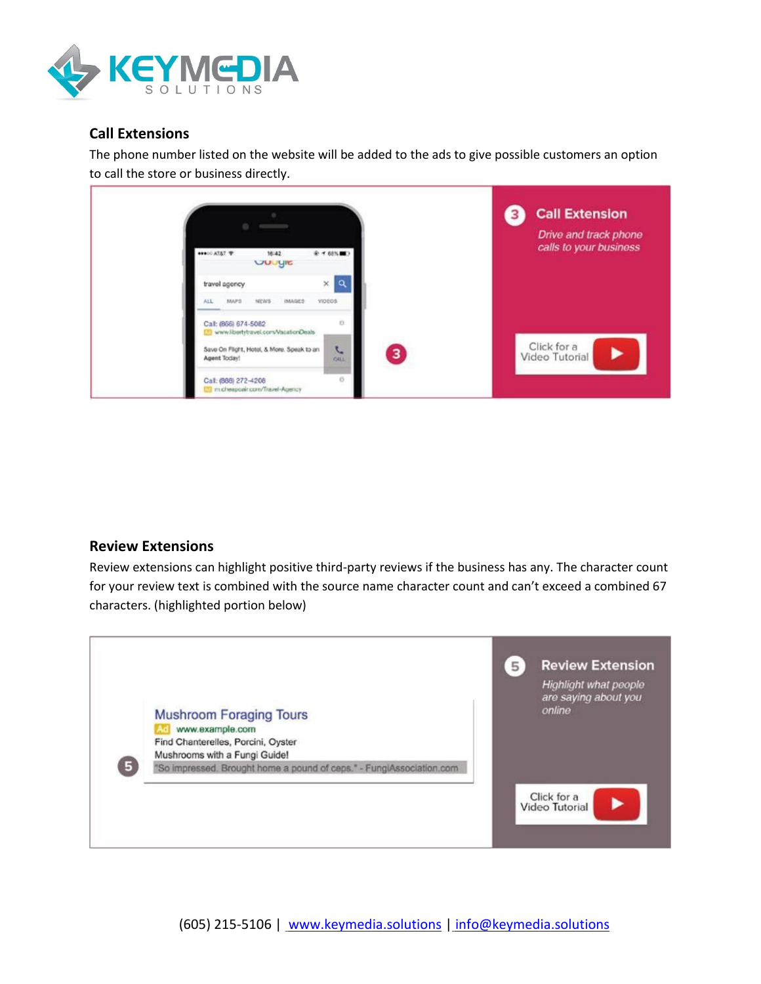

# **Call Extensions**

The phone number listed on the website will be added to the ads to give possible customers an option to call the store or business directly.



### **Review Extensions**

Review extensions can highlight positive third-party reviews if the business has any. The character count for your review text is combined with the source name character count and can't exceed a combined 67 characters. (highlighted portion below)

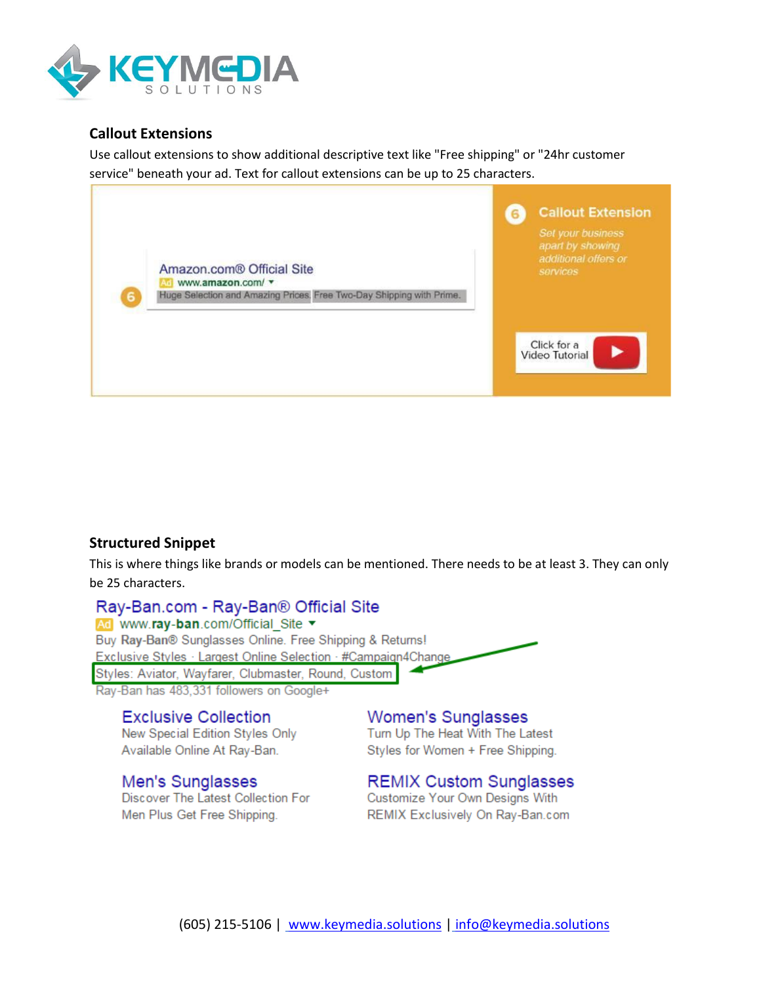

# **Callout Extensions**

Use callout extensions to show additional descriptive text like "Free shipping" or "24hr customer service" beneath your ad. Text for callout extensions can be up to 25 characters.



# **Structured Snippet**

This is where things like brands or models can be mentioned. There needs to be at least 3. They can only be 25 characters.



**Exclusive Collection** New Special Edition Styles Only Available Online At Ray-Ban.

# Men's Sunglasses

Discover The Latest Collection For Men Plus Get Free Shipping.

# Women's Sunglasses

Turn Up The Heat With The Latest Styles for Women + Free Shipping.

# **REMIX Custom Sunglasses**

Customize Your Own Designs With REMIX Exclusively On Ray-Ban.com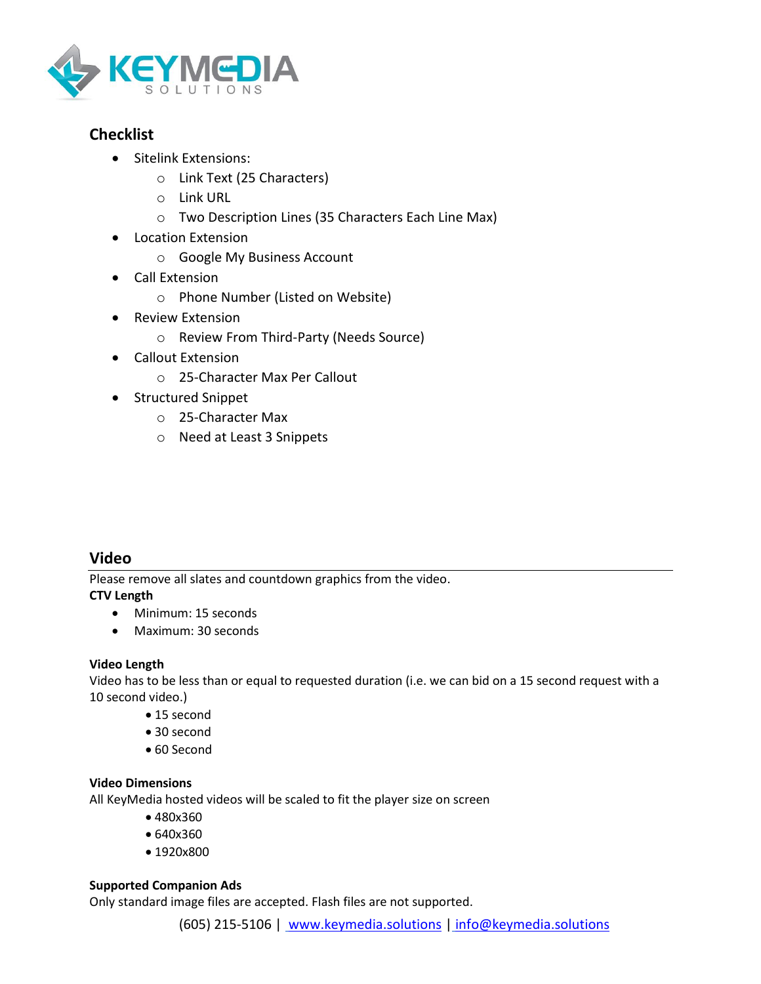

# **Checklist**

- Sitelink Extensions:
	- o Link Text (25 Characters)
	- o Link URL
	- o Two Description Lines (35 Characters Each Line Max)
- Location Extension
	- o Google My Business Account
- Call Extension
	- o Phone Number (Listed on Website)
- Review Extension
	- o Review From Third-Party (Needs Source)
- Callout Extension
	- o 25-Character Max Per Callout
- Structured Snippet
	- o 25-Character Max
	- o Need at Least 3 Snippets

# **Video**

Please remove all slates and countdown graphics from the video.

# **CTV Length**

- Minimum: 15 seconds
- Maximum: 30 seconds

# **Video Length**

Video has to be less than or equal to requested duration (i.e. we can bid on a 15 second request with a 10 second video.)

- 15 second
- 30 second
- 60 Second

# **Video Dimensions**

All KeyMedia hosted videos will be scaled to fit the player size on screen

- 480x360
- 640x360
- 1920x800

### **Supported Companion Ads**

Only standard image files are accepted. Flash files are not supported.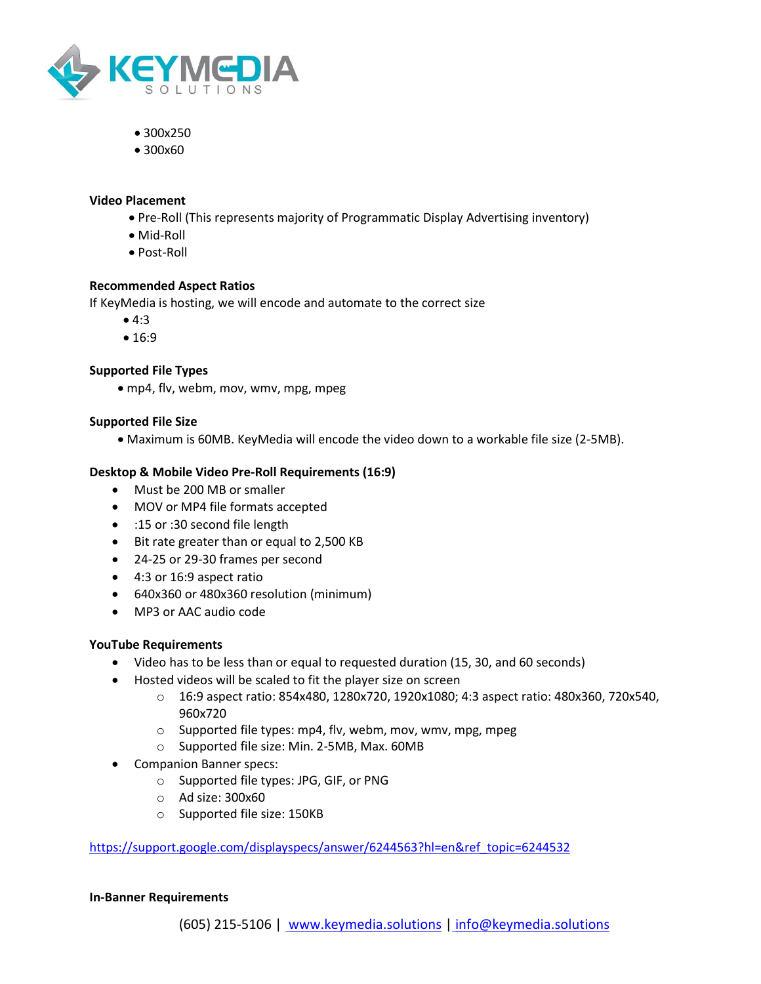

- 300x250
- 300x60

#### **Video Placement**

- Pre-Roll (This represents majority of Programmatic Display Advertising inventory)
- Mid-Roll
- Post-Roll
- **Recommended Aspect Ratios**

If KeyMedia is hosting, we will encode and automate to the correct size

- 4:3
- 16:9

#### **Supported File Types**

• mp4, flv, webm, mov, wmv, mpg, mpeg

#### **Supported File Size**

• Maximum is 60MB. KeyMedia will encode the video down to a workable file size (2-5MB).

#### **Desktop & Mobile Video Pre-Roll Requirements (16:9)**

- Must be 200 MB or smaller
- MOV or MP4 file formats accepted
- :15 or :30 second file length
- Bit rate greater than or equal to 2,500 KB
- 24-25 or 29-30 frames per second
- 4:3 or 16:9 aspect ratio
- 640x360 or 480x360 resolution (minimum)
- MP3 or AAC audio code

#### **YouTube Requirements**

- Video has to be less than or equal to requested duration (15, 30, and 60 seconds)
- Hosted videos will be scaled to fit the player size on screen
	- o 16:9 aspect ratio: 854x480, 1280x720, 1920x1080; 4:3 aspect ratio: 480x360, 720x540, 960x720
	- o Supported file types: mp4, flv, webm, mov, wmv, mpg, mpeg
	- o Supported file size: Min. 2-5MB, Max. 60MB
- Companion Banner specs:
	- o Supported file types: JPG, GIF, or PNG
	- o Ad size: 300x60
	- o Supported file size: 150KB

[https://support.google.com/displayspecs/answer/6244563?hl=en&ref\\_topic=6244532](https://support.google.com/displayspecs/answer/6244563?hl=en&ref_topic=6244532)

#### **In-Banner Requirements**